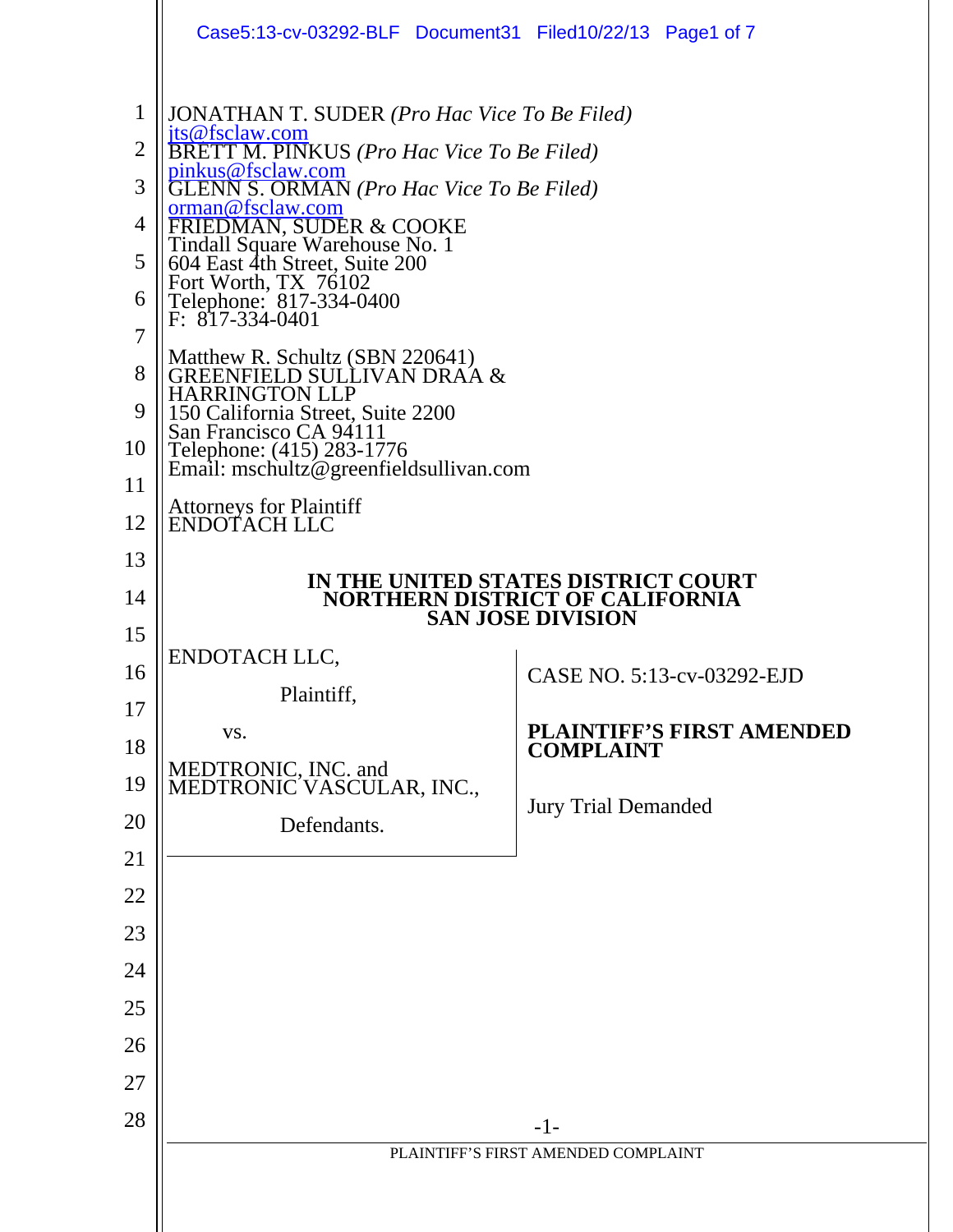|                                                                   | Case5:13-cv-03292-BLF Document31 Filed10/22/13 Page1 of 7                                                                                                                                                                                                                                                                                                                                                                                                                                                                                                             |                                                      |  |  |  |
|-------------------------------------------------------------------|-----------------------------------------------------------------------------------------------------------------------------------------------------------------------------------------------------------------------------------------------------------------------------------------------------------------------------------------------------------------------------------------------------------------------------------------------------------------------------------------------------------------------------------------------------------------------|------------------------------------------------------|--|--|--|
| $\mathbf{1}$<br>$\overline{2}$<br>3<br>4<br>5<br>6<br>7<br>8<br>9 | <b>JONATHAN T. SUDER</b> ( <i>Pro Hac Vice To Be Filed</i> )<br>jts@fsclaw.com<br><b>BRETT M. PINKUS</b> ( <i>Pro Hac Vice To Be Filed</i> )<br>pinkus@fsclaw.com<br><b>GLENN S. ORMAN</b> (Pro Hac Vice To Be Filed)<br>orman@fsclaw.com<br><b>FRIEDMAN, SUDER &amp; COOKE</b><br>Tindall Square Warehouse No. 1<br>604 East 4th Street, Suite 200<br>Fort Worth, TX 76102<br>Telephone: 817-334-0400<br>$F: 817-334-0401$<br>Matthew R. Schultz (SBN 220641)<br><b>GREENFIELD SULLIVAN DRAA &amp;</b><br><b>HARRINGTON LLP</b><br>150 California Street, Suite 2200 |                                                      |  |  |  |
| 10<br>11                                                          | San Francisco CA 94111<br>Telephone: (415) 283-1776<br>Email: mschultz@greenfieldsullivan.com                                                                                                                                                                                                                                                                                                                                                                                                                                                                         |                                                      |  |  |  |
| 12                                                                | <b>Attorneys for Plaintiff</b><br>ENDOTACH LLC                                                                                                                                                                                                                                                                                                                                                                                                                                                                                                                        |                                                      |  |  |  |
| 13                                                                |                                                                                                                                                                                                                                                                                                                                                                                                                                                                                                                                                                       |                                                      |  |  |  |
| 14                                                                | IN THE UNITED STATES DISTRICT COURT<br><b>NORTHERN DISTRICT OF CALIFORNIA</b><br><b>SAN JOSE DIVISION</b>                                                                                                                                                                                                                                                                                                                                                                                                                                                             |                                                      |  |  |  |
| 15                                                                |                                                                                                                                                                                                                                                                                                                                                                                                                                                                                                                                                                       |                                                      |  |  |  |
| 16                                                                | ENDOTACH LLC,                                                                                                                                                                                                                                                                                                                                                                                                                                                                                                                                                         | CASE NO. 5:13-cv-03292-EJD                           |  |  |  |
| 17                                                                | Plaintiff,                                                                                                                                                                                                                                                                                                                                                                                                                                                                                                                                                            |                                                      |  |  |  |
| 18                                                                | VS.                                                                                                                                                                                                                                                                                                                                                                                                                                                                                                                                                                   | <b>PLAINTIFF'S FIRST AMENDED</b><br><b>COMPLAINT</b> |  |  |  |
| 19                                                                | MEDTRONIC, INC. and<br>MEDTRONIC VASCULAR, INC.,                                                                                                                                                                                                                                                                                                                                                                                                                                                                                                                      |                                                      |  |  |  |
| 20                                                                | Defendants.                                                                                                                                                                                                                                                                                                                                                                                                                                                                                                                                                           | <b>Jury Trial Demanded</b>                           |  |  |  |
| 21                                                                |                                                                                                                                                                                                                                                                                                                                                                                                                                                                                                                                                                       |                                                      |  |  |  |
| 22                                                                |                                                                                                                                                                                                                                                                                                                                                                                                                                                                                                                                                                       |                                                      |  |  |  |
| 23                                                                |                                                                                                                                                                                                                                                                                                                                                                                                                                                                                                                                                                       |                                                      |  |  |  |
| 24                                                                |                                                                                                                                                                                                                                                                                                                                                                                                                                                                                                                                                                       |                                                      |  |  |  |
| 25                                                                |                                                                                                                                                                                                                                                                                                                                                                                                                                                                                                                                                                       |                                                      |  |  |  |
| 26                                                                |                                                                                                                                                                                                                                                                                                                                                                                                                                                                                                                                                                       |                                                      |  |  |  |
| 27                                                                |                                                                                                                                                                                                                                                                                                                                                                                                                                                                                                                                                                       |                                                      |  |  |  |
| 28                                                                |                                                                                                                                                                                                                                                                                                                                                                                                                                                                                                                                                                       | $-1-$                                                |  |  |  |
|                                                                   |                                                                                                                                                                                                                                                                                                                                                                                                                                                                                                                                                                       | PLAINTIFF'S FIRST AMENDED COMPLAINT                  |  |  |  |
|                                                                   |                                                                                                                                                                                                                                                                                                                                                                                                                                                                                                                                                                       |                                                      |  |  |  |
|                                                                   |                                                                                                                                                                                                                                                                                                                                                                                                                                                                                                                                                                       |                                                      |  |  |  |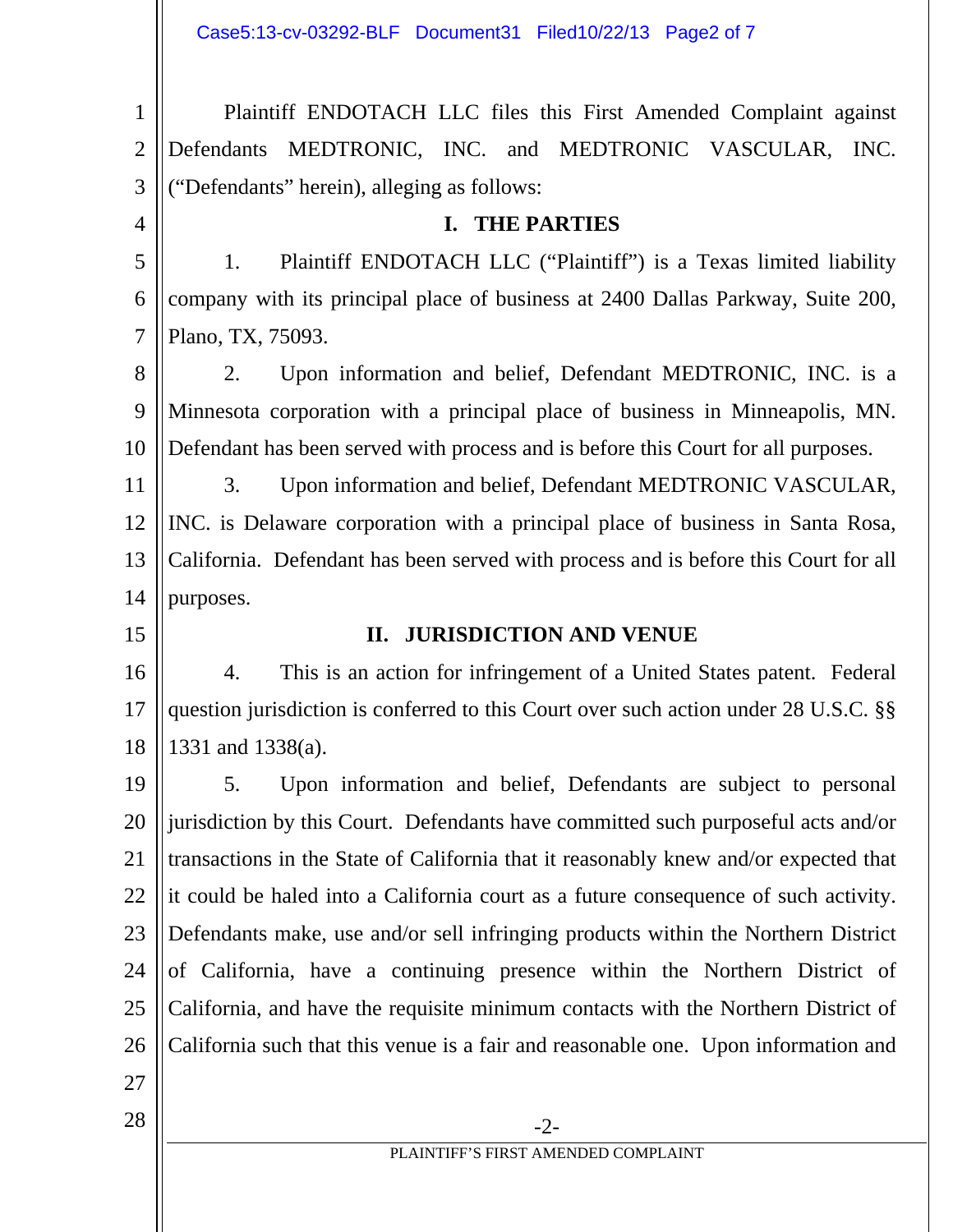Case5:13-cv-03292-BLF Document31 Filed10/22/13 Page2 of 7

1 2 3 Plaintiff ENDOTACH LLC files this First Amended Complaint against Defendants MEDTRONIC, INC. and MEDTRONIC VASCULAR, INC. ("Defendants" herein), alleging as follows:

4

## **I. THE PARTIES**

5 6 7 1. Plaintiff ENDOTACH LLC ("Plaintiff") is a Texas limited liability company with its principal place of business at 2400 Dallas Parkway, Suite 200, Plano, TX, 75093.

8 9 10 2. Upon information and belief, Defendant MEDTRONIC, INC. is a Minnesota corporation with a principal place of business in Minneapolis, MN. Defendant has been served with process and is before this Court for all purposes.

11 12 13 14 3. Upon information and belief, Defendant MEDTRONIC VASCULAR, INC. is Delaware corporation with a principal place of business in Santa Rosa, California. Defendant has been served with process and is before this Court for all purposes.

15

### **II. JURISDICTION AND VENUE**

16 17 18 4. This is an action for infringement of a United States patent. Federal question jurisdiction is conferred to this Court over such action under 28 U.S.C. §§ 1331 and 1338(a).

19 20 21 22 23 24 25 26 27 5. Upon information and belief, Defendants are subject to personal jurisdiction by this Court. Defendants have committed such purposeful acts and/or transactions in the State of California that it reasonably knew and/or expected that it could be haled into a California court as a future consequence of such activity. Defendants make, use and/or sell infringing products within the Northern District of California, have a continuing presence within the Northern District of California, and have the requisite minimum contacts with the Northern District of California such that this venue is a fair and reasonable one. Upon information and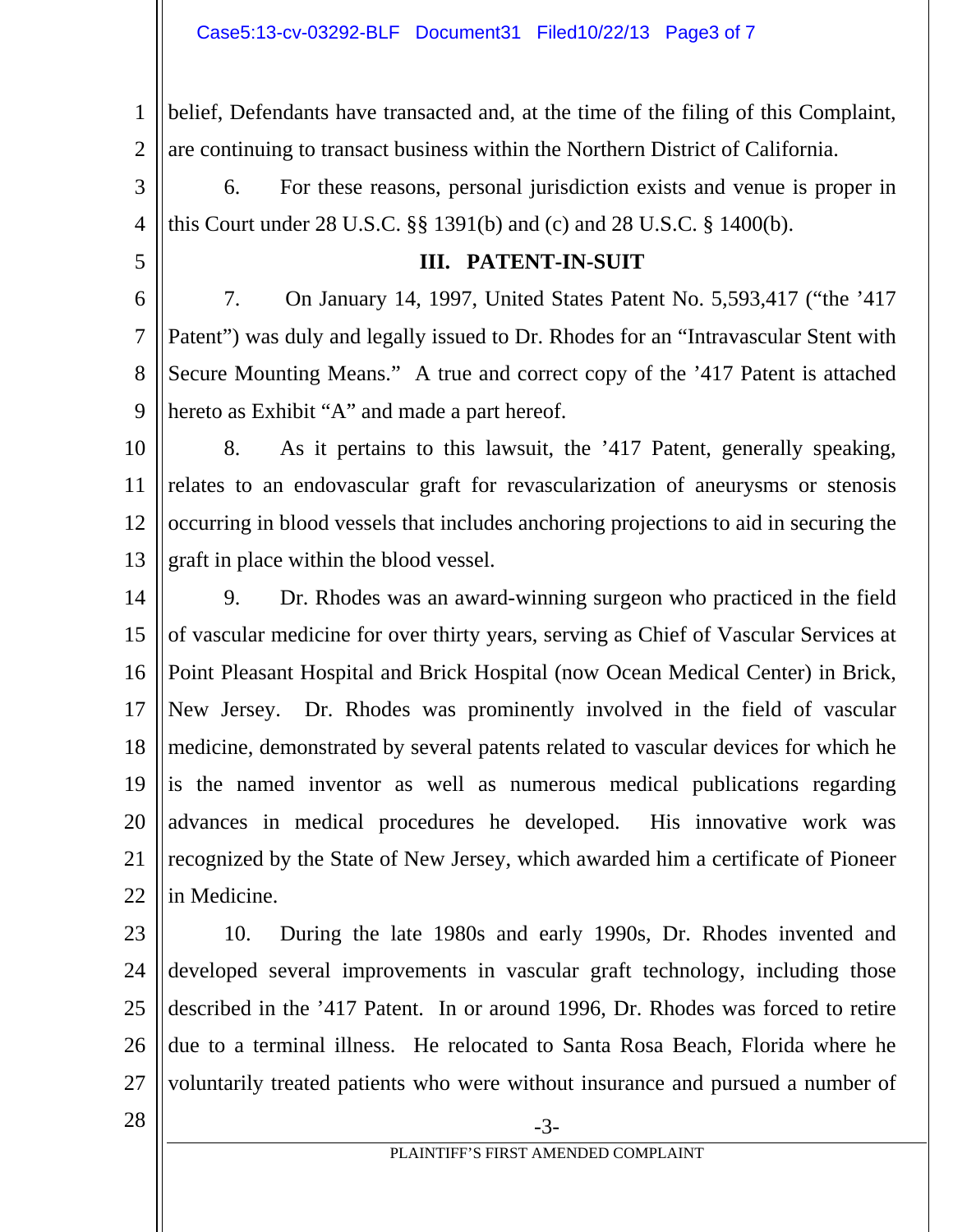1 2 belief, Defendants have transacted and, at the time of the filing of this Complaint, are continuing to transact business within the Northern District of California.

3 4 6. For these reasons, personal jurisdiction exists and venue is proper in this Court under 28 U.S.C. §§ 1391(b) and (c) and 28 U.S.C. § 1400(b).

5

### **III. PATENT-IN-SUIT**

6 7 8 9 7. On January 14, 1997, United States Patent No. 5,593,417 ("the '417 Patent") was duly and legally issued to Dr. Rhodes for an "Intravascular Stent with Secure Mounting Means." A true and correct copy of the '417 Patent is attached hereto as Exhibit "A" and made a part hereof.

- 10 11 12 13 8. As it pertains to this lawsuit, the '417 Patent, generally speaking, relates to an endovascular graft for revascularization of aneurysms or stenosis occurring in blood vessels that includes anchoring projections to aid in securing the graft in place within the blood vessel.
- 14 15 16 17 18 19 20 21 22 9. Dr. Rhodes was an award-winning surgeon who practiced in the field of vascular medicine for over thirty years, serving as Chief of Vascular Services at Point Pleasant Hospital and Brick Hospital (now Ocean Medical Center) in Brick, New Jersey. Dr. Rhodes was prominently involved in the field of vascular medicine, demonstrated by several patents related to vascular devices for which he is the named inventor as well as numerous medical publications regarding advances in medical procedures he developed. His innovative work was recognized by the State of New Jersey, which awarded him a certificate of Pioneer in Medicine.
- 23

24 25 26 27 10. During the late 1980s and early 1990s, Dr. Rhodes invented and developed several improvements in vascular graft technology, including those described in the '417 Patent. In or around 1996, Dr. Rhodes was forced to retire due to a terminal illness. He relocated to Santa Rosa Beach, Florida where he voluntarily treated patients who were without insurance and pursued a number of

 $28 \parallel$  -3-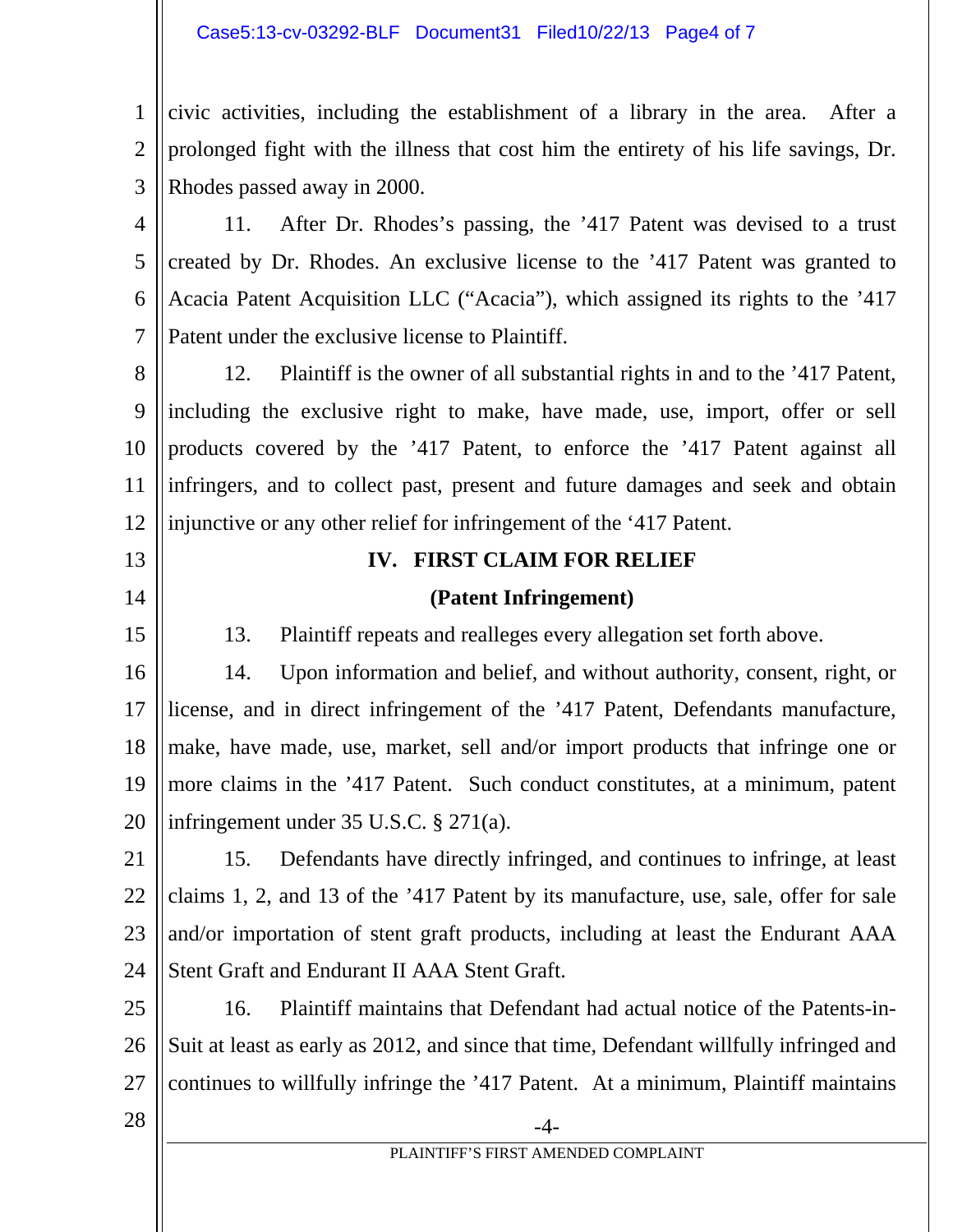#### Case5:13-cv-03292-BLF Document31 Filed10/22/13 Page4 of 7

1 2 3 civic activities, including the establishment of a library in the area. After a prolonged fight with the illness that cost him the entirety of his life savings, Dr. Rhodes passed away in 2000.

4 5 6 7 11. After Dr. Rhodes's passing, the '417 Patent was devised to a trust created by Dr. Rhodes. An exclusive license to the '417 Patent was granted to Acacia Patent Acquisition LLC ("Acacia"), which assigned its rights to the '417 Patent under the exclusive license to Plaintiff.

8 9 10 11 12 12. Plaintiff is the owner of all substantial rights in and to the '417 Patent, including the exclusive right to make, have made, use, import, offer or sell products covered by the '417 Patent, to enforce the '417 Patent against all infringers, and to collect past, present and future damages and seek and obtain injunctive or any other relief for infringement of the '417 Patent.

# 13 14

15

# **IV. FIRST CLAIM FOR RELIEF**

### **(Patent Infringement)**

13. Plaintiff repeats and realleges every allegation set forth above.

16 17 18 19 20 14. Upon information and belief, and without authority, consent, right, or license, and in direct infringement of the '417 Patent, Defendants manufacture, make, have made, use, market, sell and/or import products that infringe one or more claims in the '417 Patent. Such conduct constitutes, at a minimum, patent infringement under 35 U.S.C. § 271(a).

21 22 23 24 15. Defendants have directly infringed, and continues to infringe, at least claims 1, 2, and 13 of the '417 Patent by its manufacture, use, sale, offer for sale and/or importation of stent graft products, including at least the Endurant AAA Stent Graft and Endurant II AAA Stent Graft.

25 26 27 16. Plaintiff maintains that Defendant had actual notice of the Patents-in-Suit at least as early as 2012, and since that time, Defendant willfully infringed and continues to willfully infringe the '417 Patent. At a minimum, Plaintiff maintains

 $28 \parallel$   $-4$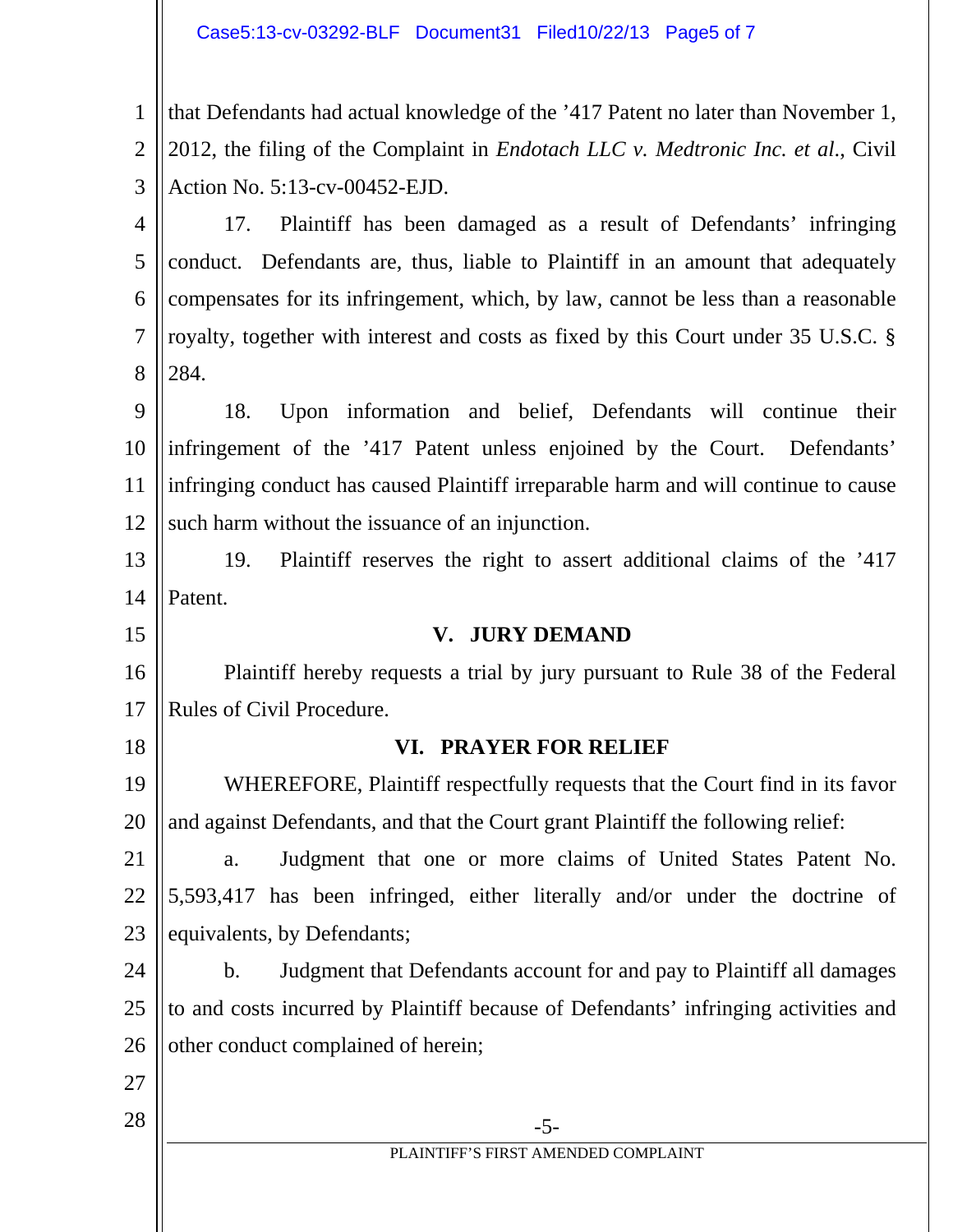#### Case5:13-cv-03292-BLF Document31 Filed10/22/13 Page5 of 7

1 2 3 that Defendants had actual knowledge of the '417 Patent no later than November 1, 2012, the filing of the Complaint in *Endotach LLC v. Medtronic Inc. et al*., Civil Action No. 5:13-cv-00452-EJD.

4 5 6 7 8 17. Plaintiff has been damaged as a result of Defendants' infringing conduct. Defendants are, thus, liable to Plaintiff in an amount that adequately compensates for its infringement, which, by law, cannot be less than a reasonable royalty, together with interest and costs as fixed by this Court under 35 U.S.C. § 284.

9 10 11 12 18. Upon information and belief, Defendants will continue their infringement of the '417 Patent unless enjoined by the Court. Defendants' infringing conduct has caused Plaintiff irreparable harm and will continue to cause such harm without the issuance of an injunction.

13 14 19. Plaintiff reserves the right to assert additional claims of the '417 Patent.

15 16 17 **V. JURY DEMAND**  Plaintiff hereby requests a trial by jury pursuant to Rule 38 of the Federal Rules of Civil Procedure.

18

## **VI. PRAYER FOR RELIEF**

19 20 WHEREFORE, Plaintiff respectfully requests that the Court find in its favor and against Defendants, and that the Court grant Plaintiff the following relief:

21 22 23 a. Judgment that one or more claims of United States Patent No. 5,593,417 has been infringed, either literally and/or under the doctrine of equivalents, by Defendants;

24 25 26 b. Judgment that Defendants account for and pay to Plaintiff all damages to and costs incurred by Plaintiff because of Defendants' infringing activities and other conduct complained of herein;

- 27
- $28 \parallel$  -5-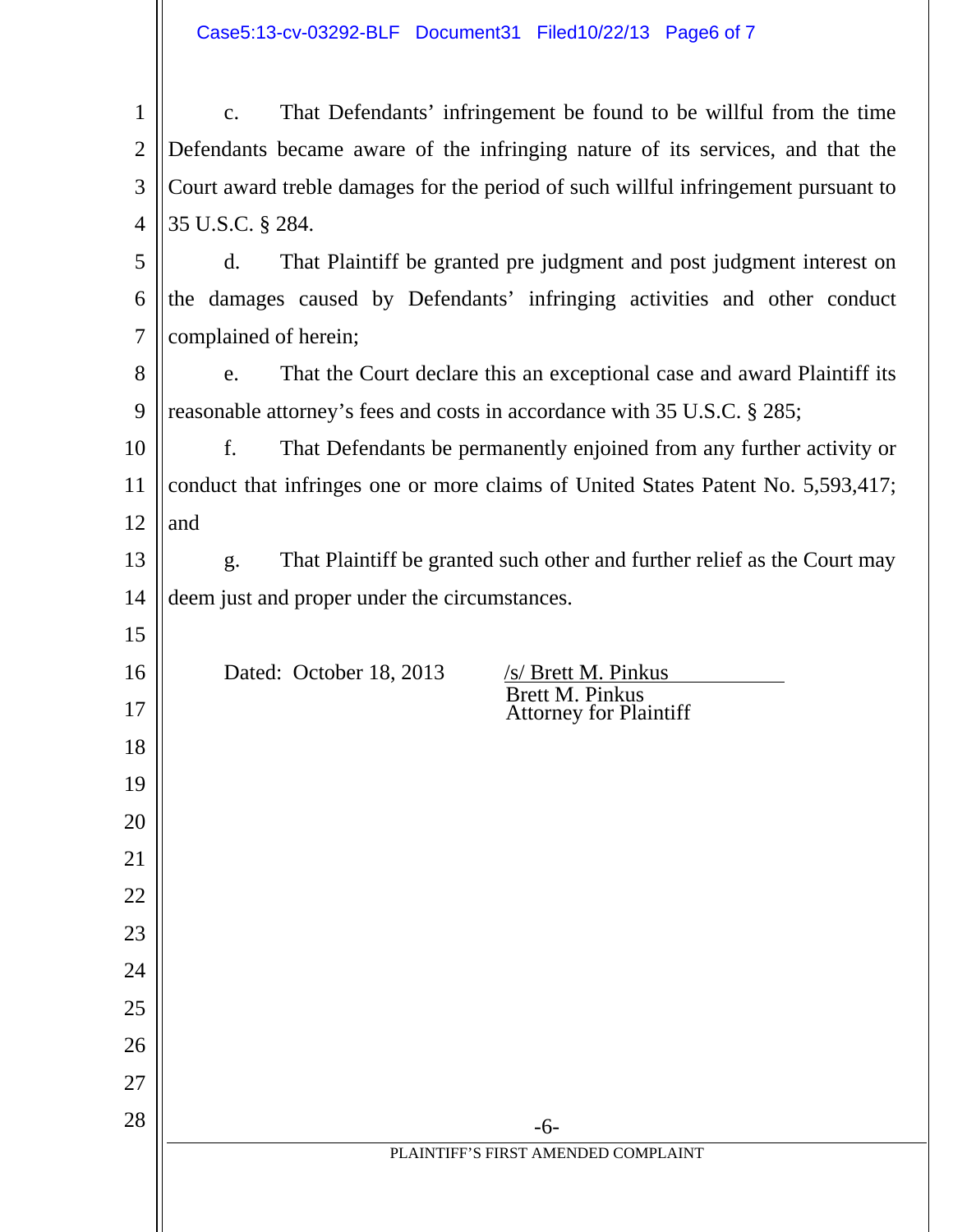| Case5:13-cv-03292-BLF Document31 Filed10/22/13 Page6 of 7 |  |  |
|-----------------------------------------------------------|--|--|
|                                                           |  |  |

| $\mathbf 1$    | That Defendants' infringement be found to be willful from the time<br>c.                   |  |  |  |
|----------------|--------------------------------------------------------------------------------------------|--|--|--|
| $\overline{2}$ | Defendants became aware of the infringing nature of its services, and that the             |  |  |  |
| 3              | Court award treble damages for the period of such willful infringement pursuant to         |  |  |  |
| $\overline{4}$ | 35 U.S.C. § 284.                                                                           |  |  |  |
| 5              | That Plaintiff be granted pre judgment and post judgment interest on<br>$\mathbf{d}$ .     |  |  |  |
| 6              | the damages caused by Defendants' infringing activities and other conduct                  |  |  |  |
| $\overline{7}$ | complained of herein;                                                                      |  |  |  |
| 8              | That the Court declare this an exceptional case and award Plaintiff its<br>e.              |  |  |  |
| 9              | reasonable attorney's fees and costs in accordance with 35 U.S.C. § 285;                   |  |  |  |
| 10             | That Defendants be permanently enjoined from any further activity or<br>f.                 |  |  |  |
| 11             | conduct that infringes one or more claims of United States Patent No. 5,593,417;           |  |  |  |
| 12             | and                                                                                        |  |  |  |
| 13             | That Plaintiff be granted such other and further relief as the Court may<br>g <sub>1</sub> |  |  |  |
| 14             | deem just and proper under the circumstances.                                              |  |  |  |
| 15             |                                                                                            |  |  |  |
| 16             | Dated: October 18, 2013<br>/s/ Brett M. Pinkus<br><b>Brett M. Pinkus</b>                   |  |  |  |
| 17             | <b>Attorney for Plaintiff</b>                                                              |  |  |  |
| 18             |                                                                                            |  |  |  |
| 19             |                                                                                            |  |  |  |
| 20             |                                                                                            |  |  |  |
| 21             |                                                                                            |  |  |  |
| 22             |                                                                                            |  |  |  |
| 23             |                                                                                            |  |  |  |
| 24             |                                                                                            |  |  |  |
| 25             |                                                                                            |  |  |  |
| 26             |                                                                                            |  |  |  |
| 27<br>28       |                                                                                            |  |  |  |
|                | $-6-$<br>PLAINTIFF'S FIRST AMENDED COMPLAINT                                               |  |  |  |
|                |                                                                                            |  |  |  |
|                |                                                                                            |  |  |  |